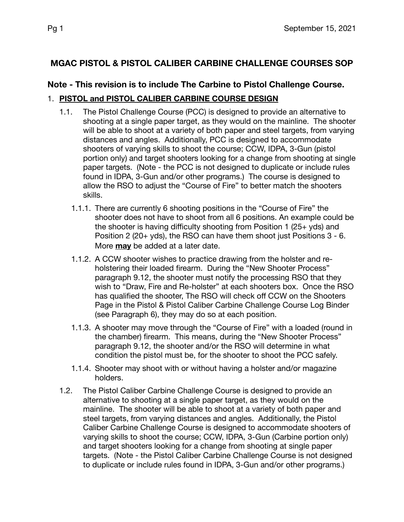# **MGAC PISTOL & PISTOL CALIBER CARBINE CHALLENGE COURSES SOP**

# **Note - This revision is to include The Carbine to Pistol Challenge Course.**

## 1. **PISTOL and PISTOL CALIBER CARBINE COURSE DESIGN**

- 1.1. The Pistol Challenge Course (PCC) is designed to provide an alternative to shooting at a single paper target, as they would on the mainline. The shooter will be able to shoot at a variety of both paper and steel targets, from varying distances and angles. Additionally, PCC is designed to accommodate shooters of varying skills to shoot the course; CCW, IDPA, 3-Gun (pistol portion only) and target shooters looking for a change from shooting at single paper targets. (Note - the PCC is not designed to duplicate or include rules found in IDPA, 3-Gun and/or other programs.) The course is designed to allow the RSO to adjust the "Course of Fire" to better match the shooters skills.
	- 1.1.1. There are currently 6 shooting positions in the "Course of Fire" the shooter does not have to shoot from all 6 positions. An example could be the shooter is having difficulty shooting from Position 1 (25+ yds) and Position 2 (20+ yds), the RSO can have them shoot just Positions 3 - 6. More **may** be added at a later date.
	- 1.1.2. A CCW shooter wishes to practice drawing from the holster and reholstering their loaded firearm. During the "New Shooter Process" paragraph 9.12, the shooter must notify the processing RSO that they wish to "Draw, Fire and Re-holster" at each shooters box. Once the RSO has qualified the shooter, The RSO will check off CCW on the Shooters Page in the Pistol & Pistol Caliber Carbine Challenge Course Log Binder (see Paragraph 6), they may do so at each position.
	- 1.1.3. A shooter may move through the "Course of Fire" with a loaded (round in the chamber) firearm. This means, during the "New Shooter Process" paragraph 9.12, the shooter and/or the RSO will determine in what condition the pistol must be, for the shooter to shoot the PCC safely.
	- 1.1.4. Shooter may shoot with or without having a holster and/or magazine holders.
- 1.2. The Pistol Caliber Carbine Challenge Course is designed to provide an alternative to shooting at a single paper target, as they would on the mainline. The shooter will be able to shoot at a variety of both paper and steel targets, from varying distances and angles. Additionally, the Pistol Caliber Carbine Challenge Course is designed to accommodate shooters of varying skills to shoot the course; CCW, IDPA, 3-Gun (Carbine portion only) and target shooters looking for a change from shooting at single paper targets. (Note - the Pistol Caliber Carbine Challenge Course is not designed to duplicate or include rules found in IDPA, 3-Gun and/or other programs.)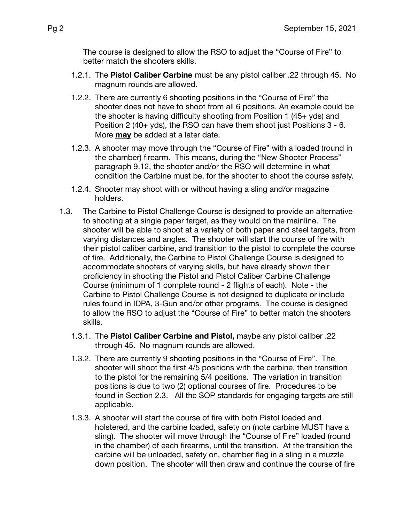The course is designed to allow the RSO to adjust the "Course of Fire" to better match the shooters skills.

- 1.2.1. The **Pistol Caliber Carbine** must be any pistol caliber .22 through 45. No magnum rounds are allowed.
- 1.2.2. There are currently 6 shooting positions in the "Course of Fire" the shooter does not have to shoot from all 6 positions. An example could be the shooter is having difficulty shooting from Position 1 (45+ yds) and Position 2 (40+ yds), the RSO can have them shoot just Positions 3 - 6. More **may** be added at a later date.
- 1.2.3. A shooter may move through the "Course of Fire" with a loaded (round in the chamber) firearm. This means, during the "New Shooter Process" paragraph 9.12, the shooter and/or the RSO will determine in what condition the Carbine must be, for the shooter to shoot the course safely.
- 1.2.4. Shooter may shoot with or without having a sling and/or magazine holders.
- 1.3. The Carbine to Pistol Challenge Course is designed to provide an alternative to shooting at a single paper target, as they would on the mainline. The shooter will be able to shoot at a variety of both paper and steel targets, from varying distances and angles. The shooter will start the course of fire with their pistol caliber carbine, and transition to the pistol to complete the course of fire. Additionally, the Carbine to Pistol Challenge Course is designed to accommodate shooters of varying skills, but have already shown their proficiency in shooting the Pistol and Pistol Caliber Carbine Challenge Course (minimum of 1 complete round - 2 flights of each). Note - the Carbine to Pistol Challenge Course is not designed to duplicate or include rules found in IDPA, 3-Gun and/or other programs. The course is designed to allow the RSO to adjust the "Course of Fire" to better match the shooters skills.
	- 1.3.1. The **Pistol Caliber Carbine and Pistol,** maybe any pistol caliber .22 through 45. No magnum rounds are allowed.
	- 1.3.2. There are currently 9 shooting positions in the "Course of Fire". The shooter will shoot the first 4/5 positions with the carbine, then transition to the pistol for the remaining 5/4 positions. The variation in transition positions is due to two (2) optional courses of fire. Procedures to be found in Section 2.3. All the SOP standards for engaging targets are still applicable.
	- 1.3.3. A shooter will start the course of fire with both Pistol loaded and holstered, and the carbine loaded, safety on (note carbine MUST have a sling). The shooter will move through the "Course of Fire" loaded (round in the chamber) of each firearms, until the transition. At the transition the carbine will be unloaded, safety on, chamber flag in a sling in a muzzle down position. The shooter will then draw and continue the course of fire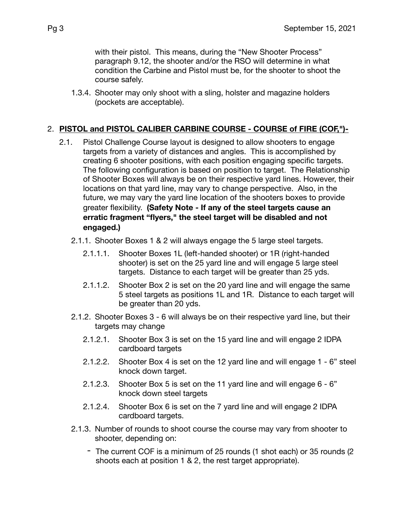with their pistol. This means, during the "New Shooter Process" paragraph 9.12, the shooter and/or the RSO will determine in what condition the Carbine and Pistol must be, for the shooter to shoot the course safely.

1.3.4. Shooter may only shoot with a sling, holster and magazine holders (pockets are acceptable).

### 2. **PISTOL and PISTOL CALIBER CARBINE COURSE - COURSE of FIRE (COF,")-**

- 2.1. Pistol Challenge Course layout is designed to allow shooters to engage targets from a variety of distances and angles. This is accomplished by creating 6 shooter positions, with each position engaging specific targets. The following configuration is based on position to target. The Relationship of Shooter Boxes will always be on their respective yard lines. However, their locations on that yard line, may vary to change perspective. Also, in the future, we may vary the yard line location of the shooters boxes to provide greater flexibility. **(Safety Note - If any of the steel targets cause an erratic fragment "flyers," the steel target will be disabled and not engaged.)**
	- 2.1.1. Shooter Boxes 1 & 2 will always engage the 5 large steel targets.
		- 2.1.1.1. Shooter Boxes 1L (left-handed shooter) or 1R (right-handed shooter) is set on the 25 yard line and will engage 5 large steel targets. Distance to each target will be greater than 25 yds.
		- 2.1.1.2. Shooter Box 2 is set on the 20 yard line and will engage the same 5 steel targets as positions 1L and 1R. Distance to each target will be greater than 20 yds.
	- 2.1.2. Shooter Boxes 3 6 will always be on their respective yard line, but their targets may change
		- 2.1.2.1. Shooter Box 3 is set on the 15 yard line and will engage 2 IDPA cardboard targets
		- 2.1.2.2. Shooter Box 4 is set on the 12 yard line and will engage 1 6" steel knock down target.
		- 2.1.2.3. Shooter Box 5 is set on the 11 yard line and will engage 6 6" knock down steel targets
		- 2.1.2.4. Shooter Box 6 is set on the 7 yard line and will engage 2 IDPA cardboard targets.
	- 2.1.3. Number of rounds to shoot course the course may vary from shooter to shooter, depending on:
		- The current COF is a minimum of 25 rounds (1 shot each) or 35 rounds (2 shoots each at position 1 & 2, the rest target appropriate).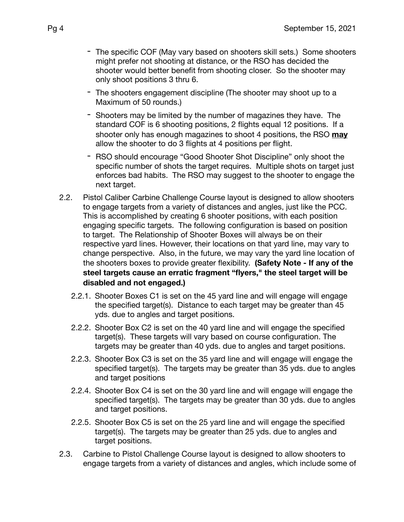- The specific COF (May vary based on shooters skill sets.) Some shooters might prefer not shooting at distance, or the RSO has decided the shooter would better benefit from shooting closer. So the shooter may only shoot positions 3 thru 6.
- The shooters engagement discipline (The shooter may shoot up to a Maximum of 50 rounds.)
- Shooters may be limited by the number of magazines they have. The standard COF is 6 shooting positions, 2 flights equal 12 positions. If a shooter only has enough magazines to shoot 4 positions, the RSO **may** allow the shooter to do 3 flights at 4 positions per flight.
- RSO should encourage "Good Shooter Shot Discipline" only shoot the specific number of shots the target requires. Multiple shots on target just enforces bad habits. The RSO may suggest to the shooter to engage the next target.
- 2.2. Pistol Caliber Carbine Challenge Course layout is designed to allow shooters to engage targets from a variety of distances and angles, just like the PCC. This is accomplished by creating 6 shooter positions, with each position engaging specific targets. The following configuration is based on position to target. The Relationship of Shooter Boxes will always be on their respective yard lines. However, their locations on that yard line, may vary to change perspective. Also, in the future, we may vary the yard line location of the shooters boxes to provide greater flexibility. **(Safety Note - If any of the steel targets cause an erratic fragment "flyers," the steel target will be disabled and not engaged.)**
	- 2.2.1. Shooter Boxes C1 is set on the 45 yard line and will engage will engage the specified target(s). Distance to each target may be greater than 45 yds. due to angles and target positions.
	- 2.2.2. Shooter Box C2 is set on the 40 yard line and will engage the specified target(s). These targets will vary based on course configuration. The targets may be greater than 40 yds. due to angles and target positions.
	- 2.2.3. Shooter Box C3 is set on the 35 yard line and will engage will engage the specified target(s). The targets may be greater than 35 yds. due to angles and target positions
	- 2.2.4. Shooter Box C4 is set on the 30 yard line and will engage will engage the specified target(s). The targets may be greater than 30 yds. due to angles and target positions.
	- 2.2.5. Shooter Box C5 is set on the 25 yard line and will engage the specified target(s). The targets may be greater than 25 yds. due to angles and target positions.
- 2.3. Carbine to Pistol Challenge Course layout is designed to allow shooters to engage targets from a variety of distances and angles, which include some of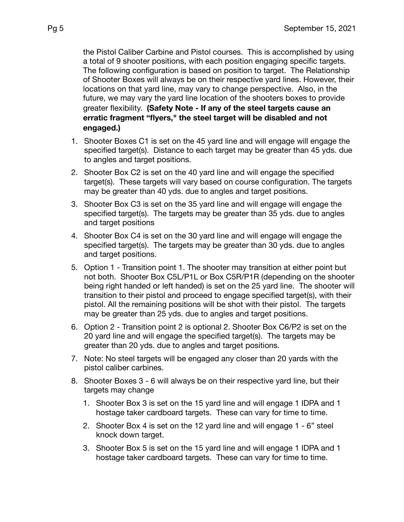the Pistol Caliber Carbine and Pistol courses. This is accomplished by using a total of 9 shooter positions, with each position engaging specific targets. The following configuration is based on position to target. The Relationship of Shooter Boxes will always be on their respective yard lines. However, their locations on that yard line, may vary to change perspective. Also, in the future, we may vary the yard line location of the shooters boxes to provide greater flexibility. **(Safety Note - If any of the steel targets cause an erratic fragment "flyers," the steel target will be disabled and not engaged.)**

- 1. Shooter Boxes C1 is set on the 45 yard line and will engage will engage the specified target(s). Distance to each target may be greater than 45 yds. due to angles and target positions.
- 2. Shooter Box C2 is set on the 40 yard line and will engage the specified target(s). These targets will vary based on course configuration. The targets may be greater than 40 yds. due to angles and target positions.
- 3. Shooter Box C3 is set on the 35 yard line and will engage will engage the specified target(s). The targets may be greater than 35 yds. due to angles and target positions
- 4. Shooter Box C4 is set on the 30 yard line and will engage will engage the specified target(s). The targets may be greater than 30 yds. due to angles and target positions.
- 5. Option 1 Transition point 1. The shooter may transition at either point but not both. Shooter Box C5L/P1L or Box C5R/P1R (depending on the shooter being right handed or left handed) is set on the 25 yard line. The shooter will transition to their pistol and proceed to engage specified target(s), with their pistol. All the remaining positions will be shot with their pistol. The targets may be greater than 25 yds. due to angles and target positions.
- 6. Option 2 Transition point 2 is optional 2. Shooter Box C6/P2 is set on the 20 yard line and will engage the specified target(s). The targets may be greater than 20 yds. due to angles and target positions.
- 7. Note: No steel targets will be engaged any closer than 20 yards with the pistol caliber carbines.
- 8. Shooter Boxes 3 6 will always be on their respective yard line, but their targets may change
	- 1. Shooter Box 3 is set on the 15 yard line and will engage 1 IDPA and 1 hostage taker cardboard targets. These can vary for time to time.
	- 2. Shooter Box 4 is set on the 12 yard line and will engage 1 6" steel knock down target.
	- 3. Shooter Box 5 is set on the 15 yard line and will engage 1 IDPA and 1 hostage taker cardboard targets. These can vary for time to time.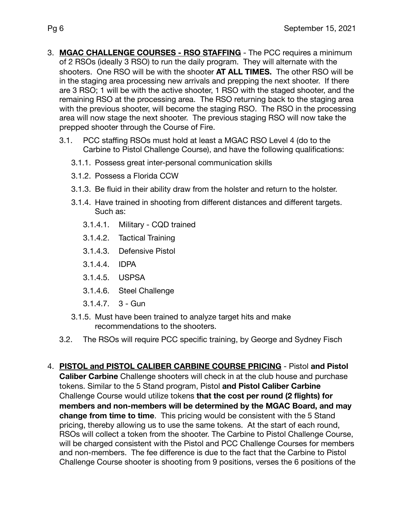- 3. **MGAC CHALLENGE COURSES RSO STAFFING** The PCC requires a minimum of 2 RSOs (ideally 3 RSO) to run the daily program. They will alternate with the shooters. One RSO will be with the shooter **AT ALL TIMES.** The other RSO will be in the staging area processing new arrivals and prepping the next shooter. If there are 3 RSO; 1 will be with the active shooter, 1 RSO with the staged shooter, and the remaining RSO at the processing area. The RSO returning back to the staging area with the previous shooter, will become the staging RSO. The RSO in the processing area will now stage the next shooter. The previous staging RSO will now take the prepped shooter through the Course of Fire.
	- 3.1. PCC staffing RSOs must hold at least a MGAC RSO Level 4 (do to the Carbine to Pistol Challenge Course), and have the following qualifications:
		- 3.1.1. Possess great inter-personal communication skills
		- 3.1.2. Possess a Florida CCW
		- 3.1.3. Be fluid in their ability draw from the holster and return to the holster.
		- 3.1.4. Have trained in shooting from different distances and different targets. Such as:
			- 3.1.4.1. Military CQD trained
			- 3.1.4.2. Tactical Training
			- 3.1.4.3. Defensive Pistol
			- 3.1.4.4. IDPA
			- 3.1.4.5. USPSA
			- 3.1.4.6. Steel Challenge
			- 3.1.4.7. 3 Gun
		- 3.1.5. Must have been trained to analyze target hits and make recommendations to the shooters.
	- 3.2. The RSOs will require PCC specific training, by George and Sydney Fisch
- 4. **PISTOL and PISTOL CALIBER CARBINE COURSE PRICING** Pistol **and Pistol Caliber Carbine** Challenge shooters will check in at the club house and purchase tokens. Similar to the 5 Stand program, Pistol **and Pistol Caliber Carbine** Challenge Course would utilize tokens **that the cost per round (2 flights) for members and non-members will be determined by the MGAC Board, and may change from time to time**. This pricing would be consistent with the 5 Stand pricing, thereby allowing us to use the same tokens. At the start of each round, RSOs will collect a token from the shooter. The Carbine to Pistol Challenge Course, will be charged consistent with the Pistol and PCC Challenge Courses for members and non-members. The fee difference is due to the fact that the Carbine to Pistol Challenge Course shooter is shooting from 9 positions, verses the 6 positions of the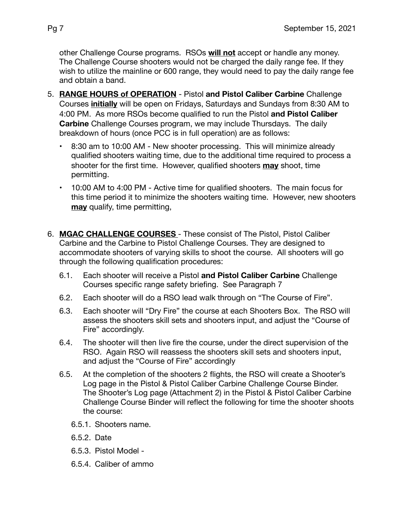other Challenge Course programs. RSOs **will not** accept or handle any money. The Challenge Course shooters would not be charged the daily range fee. If they wish to utilize the mainline or 600 range, they would need to pay the daily range fee and obtain a band.

- 5. **RANGE HOURS of OPERATION** Pistol **and Pistol Caliber Carbine** Challenge Courses **initially** will be open on Fridays, Saturdays and Sundays from 8:30 AM to 4:00 PM. As more RSOs become qualified to run the Pistol **and Pistol Caliber Carbine** Challenge Courses program, we may include Thursdays. The daily breakdown of hours (once PCC is in full operation) are as follows:
	- 8:30 am to 10:00 AM New shooter processing. This will minimize already qualified shooters waiting time, due to the additional time required to process a shooter for the first time. However, qualified shooters **may** shoot, time permitting.
	- 10:00 AM to 4:00 PM Active time for qualified shooters. The main focus for this time period it to minimize the shooters waiting time. However, new shooters **may** qualify, time permitting,
- 6. **MGAC CHALLENGE COURSES**  These consist of The Pistol, Pistol Caliber Carbine and the Carbine to Pistol Challenge Courses. They are designed to accommodate shooters of varying skills to shoot the course. All shooters will go through the following qualification procedures:
	- 6.1. Each shooter will receive a Pistol **and Pistol Caliber Carbine** Challenge Courses specific range safety briefing. See Paragraph 7
	- 6.2. Each shooter will do a RSO lead walk through on "The Course of Fire".
	- 6.3. Each shooter will "Dry Fire" the course at each Shooters Box. The RSO will assess the shooters skill sets and shooters input, and adjust the "Course of Fire" accordingly.
	- 6.4. The shooter will then live fire the course, under the direct supervision of the RSO. Again RSO will reassess the shooters skill sets and shooters input, and adjust the "Course of Fire" accordingly
	- 6.5. At the completion of the shooters 2 flights, the RSO will create a Shooter's Log page in the Pistol & Pistol Caliber Carbine Challenge Course Binder. The Shooter's Log page (Attachment 2) in the Pistol & Pistol Caliber Carbine Challenge Course Binder will reflect the following for time the shooter shoots the course:
		- 6.5.1. Shooters name.
		- 6.5.2. Date
		- 6.5.3. Pistol Model -
		- 6.5.4. Caliber of ammo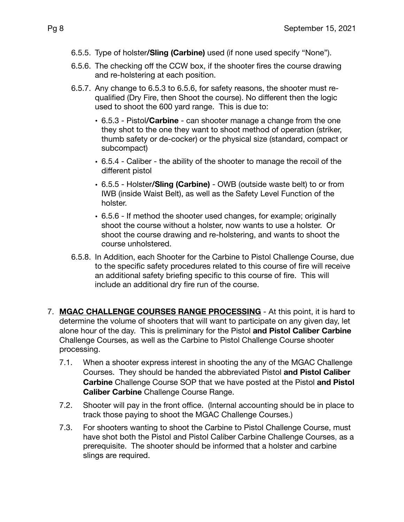- 6.5.5. Type of holster**/Sling (Carbine)** used (if none used specify "None").
- 6.5.6. The checking off the CCW box, if the shooter fires the course drawing and re-holstering at each position.
- 6.5.7. Any change to 6.5.3 to 6.5.6, for safety reasons, the shooter must requalified (Dry Fire, then Shoot the course). No different then the logic used to shoot the 600 yard range. This is due to:
	- 6.5.3 Pistol**/Carbine** can shooter manage a change from the one they shot to the one they want to shoot method of operation (striker, thumb safety or de-cocker) or the physical size (standard, compact or subcompact)
	- 6.5.4 Caliber the ability of the shooter to manage the recoil of the different pistol
	- 6.5.5 Holster**/Sling (Carbine)** OWB (outside waste belt) to or from IWB (inside Waist Belt), as well as the Safety Level Function of the holster.
	- 6.5.6 If method the shooter used changes, for example; originally shoot the course without a holster, now wants to use a holster. Or shoot the course drawing and re-holstering, and wants to shoot the course unholstered.
- 6.5.8. In Addition, each Shooter for the Carbine to Pistol Challenge Course, due to the specific safety procedures related to this course of fire will receive an additional safety briefing specific to this course of fire. This will include an additional dry fire run of the course.
- 7. **MGAC CHALLENGE COURSES RANGE PROCESSING** At this point, it is hard to determine the volume of shooters that will want to participate on any given day, let alone hour of the day. This is preliminary for the Pistol **and Pistol Caliber Carbine** Challenge Courses, as well as the Carbine to Pistol Challenge Course shooter processing.
	- 7.1. When a shooter express interest in shooting the any of the MGAC Challenge Courses. They should be handed the abbreviated Pistol **and Pistol Caliber Carbine** Challenge Course SOP that we have posted at the Pistol **and Pistol Caliber Carbine** Challenge Course Range.
	- 7.2. Shooter will pay in the front office. (Internal accounting should be in place to track those paying to shoot the MGAC Challenge Courses.)
	- 7.3. For shooters wanting to shoot the Carbine to Pistol Challenge Course, must have shot both the Pistol and Pistol Caliber Carbine Challenge Courses, as a prerequisite. The shooter should be informed that a holster and carbine slings are required.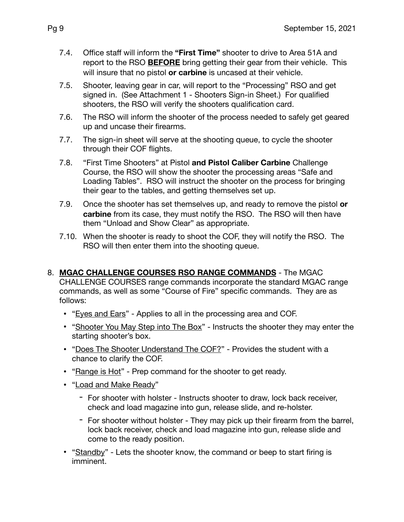- 7.4. Office staff will inform the **"First Time"** shooter to drive to Area 51A and report to the RSO **BEFORE** bring getting their gear from their vehicle. This will insure that no pistol **or carbine** is uncased at their vehicle.
- 7.5. Shooter, leaving gear in car, will report to the "Processing" RSO and get signed in. (See Attachment 1 - Shooters Sign-in Sheet.) For qualified shooters, the RSO will verify the shooters qualification card.
- 7.6. The RSO will inform the shooter of the process needed to safely get geared up and uncase their firearms.
- 7.7. The sign-in sheet will serve at the shooting queue, to cycle the shooter through their COF flights.
- 7.8. "First Time Shooters" at Pistol **and Pistol Caliber Carbine** Challenge Course, the RSO will show the shooter the processing areas "Safe and Loading Tables". RSO will instruct the shooter on the process for bringing their gear to the tables, and getting themselves set up.
- 7.9. Once the shooter has set themselves up, and ready to remove the pistol **or carbine** from its case, they must notify the RSO. The RSO will then have them "Unload and Show Clear" as appropriate.
- 7.10. When the shooter is ready to shoot the COF, they will notify the RSO. The RSO will then enter them into the shooting queue.
- 8. **MGAC CHALLENGE COURSES RSO RANGE COMMANDS** The MGAC CHALLENGE COURSES range commands incorporate the standard MGAC range commands, as well as some "Course of Fire" specific commands. They are as follows:
	- "Eyes and Ears" Applies to all in the processing area and COF.
	- "Shooter You May Step into The Box" Instructs the shooter they may enter the starting shooter's box.
	- "Does The Shooter Understand The COF?" Provides the student with a chance to clarify the COF.
	- "Range is Hot" Prep command for the shooter to get ready.
	- "Load and Make Ready"
		- For shooter with holster Instructs shooter to draw, lock back receiver, check and load magazine into gun, release slide, and re-holster.
		- For shooter without holster They may pick up their firearm from the barrel, lock back receiver, check and load magazine into gun, release slide and come to the ready position.
	- "Standby" Lets the shooter know, the command or beep to start firing is imminent.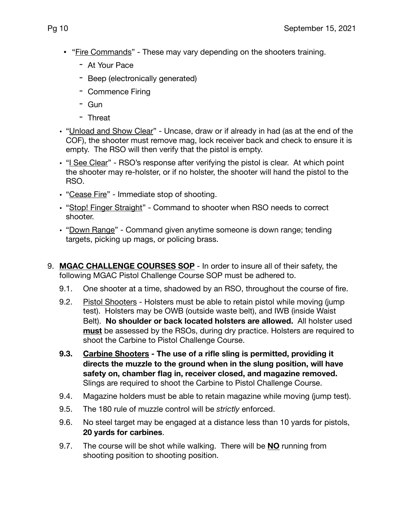- "Fire Commands" These may vary depending on the shooters training.
	- At Your Pace
	- Beep (electronically generated)
	- Commence Firing
	- Gun
	- Threat
- "Unload and Show Clear" Uncase, draw or if already in had (as at the end of the COF), the shooter must remove mag, lock receiver back and check to ensure it is empty. The RSO will then verify that the pistol is empty.
- "I See Clear" RSO's response after verifying the pistol is clear. At which point the shooter may re-holster, or if no holster, the shooter will hand the pistol to the RSO.
- "Cease Fire" Immediate stop of shooting.
- "Stop! Finger Straight" Command to shooter when RSO needs to correct shooter.
- "Down Range" Command given anytime someone is down range; tending targets, picking up mags, or policing brass.
- 9. **MGAC CHALLENGE COURSES SOP** In order to insure all of their safety, the following MGAC Pistol Challenge Course SOP must be adhered to.
	- 9.1. One shooter at a time, shadowed by an RSO, throughout the course of fire.
	- 9.2. Pistol Shooters Holsters must be able to retain pistol while moving (jump test). Holsters may be OWB (outside waste belt), and IWB (inside Waist Belt). **No shoulder or back located holsters are allowed.** All holster used **must** be assessed by the RSOs, during dry practice. Holsters are required to shoot the Carbine to Pistol Challenge Course.
	- **9.3. Carbine Shooters The use of a rifle sling is permitted, providing it directs the muzzle to the ground when in the slung position, will have safety on, chamber flag in, receiver closed, and magazine removed.**  Slings are required to shoot the Carbine to Pistol Challenge Course.
	- 9.4. Magazine holders must be able to retain magazine while moving (jump test).
	- 9.5. The 180 rule of muzzle control will be *strictly* enforced.
	- 9.6. No steel target may be engaged at a distance less than 10 yards for pistols, **20 yards for carbines**.
	- 9.7. The course will be shot while walking. There will be **NO** running from shooting position to shooting position.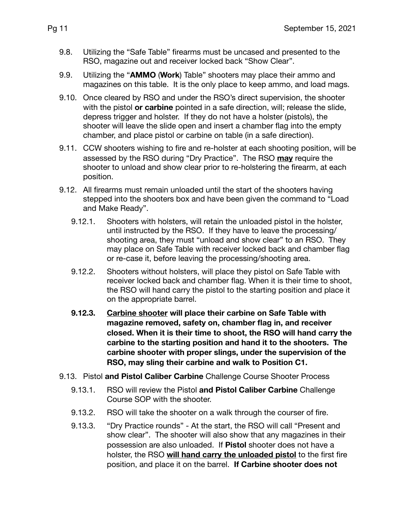- 9.8. Utilizing the "Safe Table" firearms must be uncased and presented to the RSO, magazine out and receiver locked back "Show Clear".
- 9.9. Utilizing the "**AMMO** (**Work**) Table" shooters may place their ammo and magazines on this table. It is the only place to keep ammo, and load mags.
- 9.10. Once cleared by RSO and under the RSO's direct supervision, the shooter with the pistol **or carbine** pointed in a safe direction, will; release the slide, depress trigger and holster. If they do not have a holster (pistols), the shooter will leave the slide open and insert a chamber flag into the empty chamber, and place pistol or carbine on table (in a safe direction).
- 9.11. CCW shooters wishing to fire and re-holster at each shooting position, will be assessed by the RSO during "Dry Practice". The RSO **may** require the shooter to unload and show clear prior to re-holstering the firearm, at each position.
- 9.12. All firearms must remain unloaded until the start of the shooters having stepped into the shooters box and have been given the command to "Load and Make Ready".
	- 9.12.1. Shooters with holsters, will retain the unloaded pistol in the holster, until instructed by the RSO. If they have to leave the processing/ shooting area, they must "unload and show clear" to an RSO. They may place on Safe Table with receiver locked back and chamber flag or re-case it, before leaving the processing/shooting area.
	- 9.12.2. Shooters without holsters, will place they pistol on Safe Table with receiver locked back and chamber flag. When it is their time to shoot, the RSO will hand carry the pistol to the starting position and place it on the appropriate barrel.
	- **9.12.3. Carbine shooter will place their carbine on Safe Table with magazine removed, safety on, chamber flag in, and receiver closed. When it is their time to shoot, the RSO will hand carry the carbine to the starting position and hand it to the shooters. The carbine shooter with proper slings, under the supervision of the RSO, may sling their carbine and walk to Position C1.**
- 9.13. Pistol **and Pistol Caliber Carbine** Challenge Course Shooter Process
	- 9.13.1. RSO will review the Pistol **and Pistol Caliber Carbine** Challenge Course SOP with the shooter.
	- 9.13.2. RSO will take the shooter on a walk through the courser of fire.
	- 9.13.3. "Dry Practice rounds" At the start, the RSO will call "Present and show clear". The shooter will also show that any magazines in their possession are also unloaded. If **Pistol** shooter does not have a holster, the RSO **will hand carry the unloaded pistol** to the first fire position, and place it on the barrel. **If Carbine shooter does not**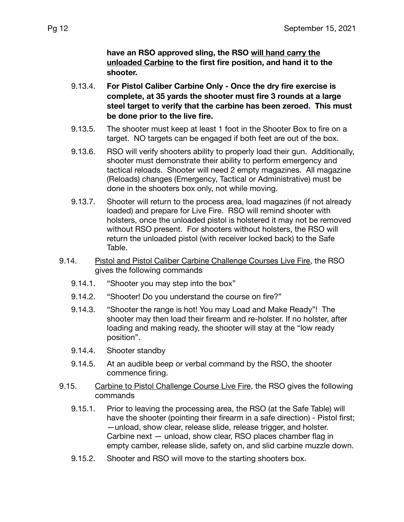**have an RSO approved sling, the RSO will hand carry the unloaded Carbine to the first fire position, and hand it to the shooter.**

- 9.13.4. **For Pistol Caliber Carbine Only Once the dry fire exercise is complete, at 35 yards the shooter must fire 3 rounds at a large steel target to verify that the carbine has been zeroed. This must be done prior to the live fire.**
- 9.13.5. The shooter must keep at least 1 foot in the Shooter Box to fire on a target. NO targets can be engaged if both feet are out of the box.
- 9.13.6. RSO will verify shooters ability to properly load their gun. Additionally, shooter must demonstrate their ability to perform emergency and tactical reloads. Shooter will need 2 empty magazines. All magazine (Reloads) changes (Emergency, Tactical or Administrative) must be done in the shooters box only, not while moving.
- 9.13.7. Shooter will return to the process area, load magazines (if not already loaded) and prepare for Live Fire. RSO will remind shooter with holsters, once the unloaded pistol is holstered it may not be removed without RSO present. For shooters without holsters, the RSO will return the unloaded pistol (with receiver locked back) to the Safe Table.
- 9.14. Pistol and Pistol Caliber Carbine Challenge Courses Live Fire, the RSO gives the following commands
	- 9.14.1. "Shooter you may step into the box"
	- 9.14.2. "Shooter! Do you understand the course on fire?"
	- 9.14.3. "Shooter the range is hot! You may Load and Make Ready"! The shooter may then load their firearm and re-holster. If no holster, after loading and making ready, the shooter will stay at the "low ready position".
	- 9.14.4. Shooter standby
	- 9.14.5. At an audible beep or verbal command by the RSO, the shooter commence firing.
- 9.15. Carbine to Pistol Challenge Course Live Fire, the RSO gives the following commands
	- 9.15.1. Prior to leaving the processing area, the RSO (at the Safe Table) will have the shooter (pointing their firearm in a safe direction) - Pistol first; —unload, show clear, release slide, release trigger, and holster. Carbine next — unload, show clear, RSO places chamber flag in empty camber, release slide, safety on, and slid carbine muzzle down.
	- 9.15.2. Shooter and RSO will move to the starting shooters box.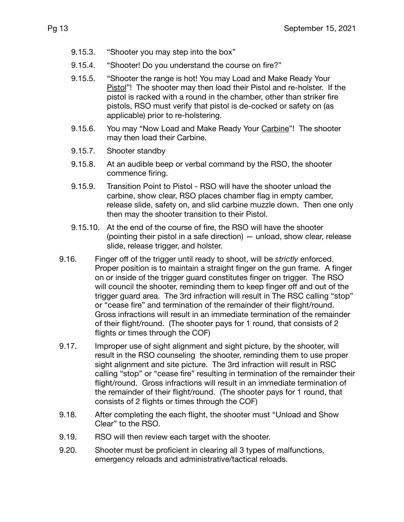- 9.15.3. "Shooter you may step into the box"
- 9.15.4. "Shooter! Do you understand the course on fire?"
- 9.15.5. "Shooter the range is hot! You may Load and Make Ready Your Pistol"! The shooter may then load their Pistol and re-holster. If the pistol is racked with a round in the chamber, other than striker fire pistols, RSO must verify that pistol is de-cocked or safety on (as applicable) prior to re-holstering.
- 9.15.6. You may "Now Load and Make Ready Your Carbine"! The shooter may then load their Carbine.
- 9.15.7. Shooter standby
- 9.15.8. At an audible beep or verbal command by the RSO, the shooter commence firing.
- 9.15.9. Transition Point to Pistol RSO will have the shooter unload the carbine, show clear, RSO places chamber flag in empty camber, release slide, safety on, and slid carbine muzzle down. Then one only then may the shooter transition to their Pistol.
- 9.15.10. At the end of the course of fire, the RSO will have the shooter (pointing their pistol in a safe direction) — unload, show clear, release slide, release trigger, and holster.
- 9.16. Finger off of the trigger until ready to shoot, will be *strictly* enforced. Proper position is to maintain a straight finger on the gun frame. A finger on or inside of the trigger guard constitutes finger on trigger. The RSO will council the shooter, reminding them to keep finger off and out of the trigger guard area. The 3rd infraction will result in The RSC calling "stop" or "cease fire" and termination of the remainder of their flight/round. Gross infractions will result in an immediate termination of the remainder of their flight/round. (The shooter pays for 1 round, that consists of 2 flights or times through the COF)
- 9.17. Improper use of sight alignment and sight picture, by the shooter, will result in the RSO counseling the shooter, reminding them to use proper sight alignment and site picture. The 3rd infraction will result in RSC calling "stop" or "cease fire" resulting in termination of the remainder their flight/round. Gross infractions will result in an immediate termination of the remainder of their flight/round. (The shooter pays for 1 round, that consists of 2 flights or times through the COF)
- 9.18. After completing the each flight, the shooter must "Unload and Show Clear" to the RSO.
- 9.19. RSO will then review each target with the shooter.
- 9.20. Shooter must be proficient in clearing all 3 types of malfunctions, emergency reloads and administrative/tactical reloads.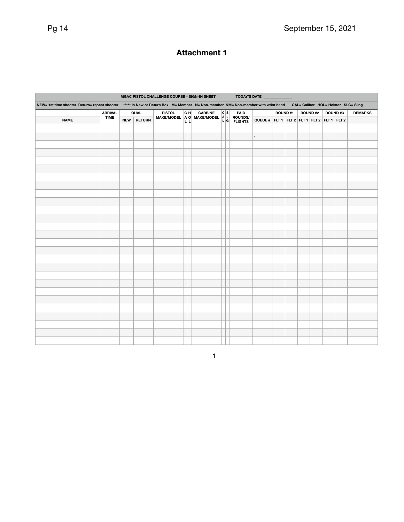# **Attachment 1**

|                                                                                                                                                                        |                               |      |               | MGAC PISTOL CHALLENGE COURSE - SIGN-IN SHEET |    |                                                       |     | <b>TODAY'S DATE</b> |                                             |                |  |         |  |         |  |                |
|------------------------------------------------------------------------------------------------------------------------------------------------------------------------|-------------------------------|------|---------------|----------------------------------------------|----|-------------------------------------------------------|-----|---------------------|---------------------------------------------|----------------|--|---------|--|---------|--|----------------|
| NEW= 1st time shooter Return= repeat shooter<br>***** In New or Return Box M= Member N= Non-member NM= Non-member with wrist band CAL= Caliber HOL= Holster SLG= Sling |                               |      |               |                                              |    |                                                       |     |                     |                                             |                |  |         |  |         |  |                |
|                                                                                                                                                                        | <b>ARRIVAL</b><br><b>TIME</b> | QUAL |               | <b>PISTOL</b>                                | cн | <b>CARBINE</b>                                        | c s | PAID                |                                             | <b>ROUND#1</b> |  | ROUND#2 |  | ROUND#3 |  | <b>REMARKS</b> |
| <b>NAME</b>                                                                                                                                                            |                               | NEW  | <b>RETURN</b> |                                              |    | MAKE/MODEL AO MAKE/MODEL A L ROUNDS/<br>L L G FLIGHTS |     |                     | QUEUE # FLT 1 FLT 2 FLT 1 FLT 2 FLT 1 FLT 2 |                |  |         |  |         |  |                |
|                                                                                                                                                                        |                               |      |               |                                              |    |                                                       |     |                     |                                             |                |  |         |  |         |  |                |
|                                                                                                                                                                        |                               |      |               |                                              |    |                                                       |     |                     | ,                                           |                |  |         |  |         |  |                |
|                                                                                                                                                                        |                               |      |               |                                              |    |                                                       |     |                     |                                             |                |  |         |  |         |  |                |
|                                                                                                                                                                        |                               |      |               |                                              |    |                                                       |     |                     |                                             |                |  |         |  |         |  |                |
|                                                                                                                                                                        |                               |      |               |                                              |    |                                                       |     |                     |                                             |                |  |         |  |         |  |                |
|                                                                                                                                                                        |                               |      |               |                                              |    |                                                       |     |                     |                                             |                |  |         |  |         |  |                |
|                                                                                                                                                                        |                               |      |               |                                              |    |                                                       |     |                     |                                             |                |  |         |  |         |  |                |
|                                                                                                                                                                        |                               |      |               |                                              |    |                                                       |     |                     |                                             |                |  |         |  |         |  |                |
|                                                                                                                                                                        |                               |      |               |                                              |    |                                                       |     |                     |                                             |                |  |         |  |         |  |                |
|                                                                                                                                                                        |                               |      |               |                                              |    |                                                       |     |                     |                                             |                |  |         |  |         |  |                |
|                                                                                                                                                                        |                               |      |               |                                              |    |                                                       |     |                     |                                             |                |  |         |  |         |  |                |
|                                                                                                                                                                        |                               |      |               |                                              |    |                                                       |     |                     |                                             |                |  |         |  |         |  |                |
|                                                                                                                                                                        |                               |      |               |                                              |    |                                                       |     |                     |                                             |                |  |         |  |         |  |                |
|                                                                                                                                                                        |                               |      |               |                                              |    |                                                       |     |                     |                                             |                |  |         |  |         |  |                |
|                                                                                                                                                                        |                               |      |               |                                              |    |                                                       |     |                     |                                             |                |  |         |  |         |  |                |
|                                                                                                                                                                        |                               |      |               |                                              |    |                                                       |     |                     |                                             |                |  |         |  |         |  |                |
|                                                                                                                                                                        |                               |      |               |                                              |    |                                                       |     |                     |                                             |                |  |         |  |         |  |                |
|                                                                                                                                                                        |                               |      |               |                                              |    |                                                       |     |                     |                                             |                |  |         |  |         |  |                |
|                                                                                                                                                                        |                               |      |               |                                              |    |                                                       |     |                     |                                             |                |  |         |  |         |  |                |
|                                                                                                                                                                        |                               |      |               |                                              |    |                                                       |     |                     |                                             |                |  |         |  |         |  |                |
|                                                                                                                                                                        |                               |      |               |                                              |    |                                                       |     |                     |                                             |                |  |         |  |         |  |                |
|                                                                                                                                                                        |                               |      |               |                                              |    |                                                       |     |                     |                                             |                |  |         |  |         |  |                |
|                                                                                                                                                                        |                               |      |               |                                              |    |                                                       |     |                     |                                             |                |  |         |  |         |  |                |
|                                                                                                                                                                        |                               |      |               |                                              |    |                                                       |     |                     |                                             |                |  |         |  |         |  |                |
|                                                                                                                                                                        |                               |      |               |                                              |    |                                                       |     |                     |                                             |                |  |         |  |         |  |                |
|                                                                                                                                                                        |                               |      |               |                                              |    |                                                       |     |                     |                                             |                |  |         |  |         |  |                |
|                                                                                                                                                                        |                               |      |               |                                              |    |                                                       |     |                     |                                             |                |  |         |  |         |  |                |
|                                                                                                                                                                        |                               |      |               |                                              |    |                                                       |     |                     |                                             |                |  |         |  |         |  |                |

1